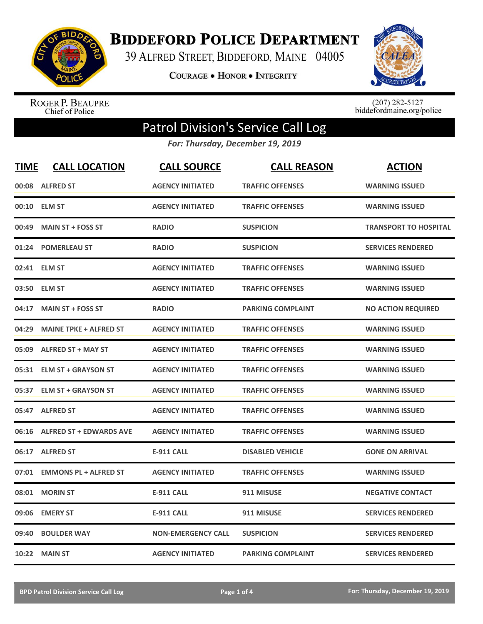

**BIDDEFORD POLICE DEPARTMENT** 

39 ALFRED STREET, BIDDEFORD, MAINE 04005

**COURAGE . HONOR . INTEGRITY** 



ROGER P. BEAUPRE<br>Chief of Police

 $(207)$  282-5127<br>biddefordmaine.org/police

## Patrol Division's Service Call Log

*For: Thursday, December 19, 2019*

| <b>TIME</b> | <b>CALL LOCATION</b>           | <b>CALL SOURCE</b>        | <b>CALL REASON</b>       | <b>ACTION</b>                |
|-------------|--------------------------------|---------------------------|--------------------------|------------------------------|
| 00:08       | <b>ALFRED ST</b>               | <b>AGENCY INITIATED</b>   | <b>TRAFFIC OFFENSES</b>  | <b>WARNING ISSUED</b>        |
| 00:10       | <b>ELM ST</b>                  | <b>AGENCY INITIATED</b>   | <b>TRAFFIC OFFENSES</b>  | <b>WARNING ISSUED</b>        |
| 00:49       | <b>MAIN ST + FOSS ST</b>       | <b>RADIO</b>              | <b>SUSPICION</b>         | <b>TRANSPORT TO HOSPITAL</b> |
| 01:24       | <b>POMERLEAU ST</b>            | <b>RADIO</b>              | <b>SUSPICION</b>         | <b>SERVICES RENDERED</b>     |
|             | 02:41 ELM ST                   | <b>AGENCY INITIATED</b>   | <b>TRAFFIC OFFENSES</b>  | <b>WARNING ISSUED</b>        |
| 03:50       | <b>ELM ST</b>                  | <b>AGENCY INITIATED</b>   | <b>TRAFFIC OFFENSES</b>  | <b>WARNING ISSUED</b>        |
| 04:17       | <b>MAIN ST + FOSS ST</b>       | <b>RADIO</b>              | <b>PARKING COMPLAINT</b> | <b>NO ACTION REQUIRED</b>    |
| 04:29       | <b>MAINE TPKE + ALFRED ST</b>  | <b>AGENCY INITIATED</b>   | <b>TRAFFIC OFFENSES</b>  | <b>WARNING ISSUED</b>        |
| 05:09       | <b>ALFRED ST + MAY ST</b>      | <b>AGENCY INITIATED</b>   | <b>TRAFFIC OFFENSES</b>  | <b>WARNING ISSUED</b>        |
|             | 05:31 ELM ST + GRAYSON ST      | <b>AGENCY INITIATED</b>   | <b>TRAFFIC OFFENSES</b>  | <b>WARNING ISSUED</b>        |
| 05:37       | <b>ELM ST + GRAYSON ST</b>     | <b>AGENCY INITIATED</b>   | <b>TRAFFIC OFFENSES</b>  | <b>WARNING ISSUED</b>        |
| 05:47       | <b>ALFRED ST</b>               | <b>AGENCY INITIATED</b>   | <b>TRAFFIC OFFENSES</b>  | <b>WARNING ISSUED</b>        |
| 06:16       | <b>ALFRED ST + EDWARDS AVE</b> | <b>AGENCY INITIATED</b>   | <b>TRAFFIC OFFENSES</b>  | <b>WARNING ISSUED</b>        |
| 06:17       | <b>ALFRED ST</b>               | <b>E-911 CALL</b>         | <b>DISABLED VEHICLE</b>  | <b>GONE ON ARRIVAL</b>       |
| 07:01       | <b>EMMONS PL + ALFRED ST</b>   | <b>AGENCY INITIATED</b>   | <b>TRAFFIC OFFENSES</b>  | <b>WARNING ISSUED</b>        |
| 08:01       | <b>MORIN ST</b>                | <b>E-911 CALL</b>         | 911 MISUSE               | <b>NEGATIVE CONTACT</b>      |
| 09:06       | <b>EMERY ST</b>                | <b>E-911 CALL</b>         | 911 MISUSE               | <b>SERVICES RENDERED</b>     |
| 09:40       | <b>BOULDER WAY</b>             | <b>NON-EMERGENCY CALL</b> | <b>SUSPICION</b>         | <b>SERVICES RENDERED</b>     |
|             | 10:22 MAIN ST                  | <b>AGENCY INITIATED</b>   | <b>PARKING COMPLAINT</b> | <b>SERVICES RENDERED</b>     |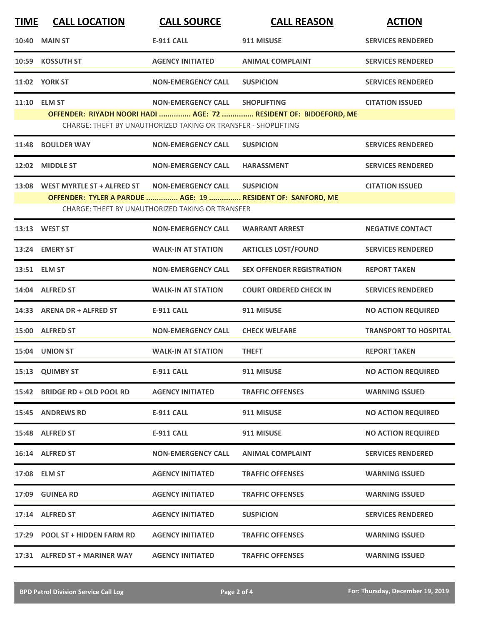| <b>TIME</b> | <b>CALL LOCATION</b>             | <b>CALL SOURCE</b>                                                                          | <b>CALL REASON</b>                                                                     | <b>ACTION</b>                |
|-------------|----------------------------------|---------------------------------------------------------------------------------------------|----------------------------------------------------------------------------------------|------------------------------|
| 10:40       | <b>MAIN ST</b>                   | <b>E-911 CALL</b>                                                                           | 911 MISUSE                                                                             | <b>SERVICES RENDERED</b>     |
|             | 10:59 KOSSUTH ST                 | <b>AGENCY INITIATED</b>                                                                     | <b>ANIMAL COMPLAINT</b>                                                                | <b>SERVICES RENDERED</b>     |
|             | <b>11:02 YORK ST</b>             | <b>NON-EMERGENCY CALL</b>                                                                   | <b>SUSPICION</b>                                                                       | <b>SERVICES RENDERED</b>     |
|             | 11:10 ELM ST                     | <b>NON-EMERGENCY CALL</b><br>CHARGE: THEFT BY UNAUTHORIZED TAKING OR TRANSFER - SHOPLIFTING | <b>SHOPLIFTING</b><br>OFFENDER: RIYADH NOORI HADI  AGE: 72  RESIDENT OF: BIDDEFORD, ME | <b>CITATION ISSUED</b>       |
|             | 11:48 BOULDER WAY                | <b>NON-EMERGENCY CALL</b>                                                                   | <b>SUSPICION</b>                                                                       | <b>SERVICES RENDERED</b>     |
|             | 12:02 MIDDLE ST                  | <b>NON-EMERGENCY CALL</b>                                                                   | <b>HARASSMENT</b>                                                                      | <b>SERVICES RENDERED</b>     |
|             | 13:08 WEST MYRTLE ST + ALFRED ST | <b>NON-EMERGENCY CALL</b><br><b>CHARGE: THEFT BY UNAUTHORIZED TAKING OR TRANSFER</b>        | <b>SUSPICION</b><br>OFFENDER: TYLER A PARDUE  AGE: 19  RESIDENT OF: SANFORD, ME        | <b>CITATION ISSUED</b>       |
|             | 13:13 WEST ST                    | <b>NON-EMERGENCY CALL</b>                                                                   | <b>WARRANT ARREST</b>                                                                  | <b>NEGATIVE CONTACT</b>      |
|             | 13:24 EMERY ST                   | <b>WALK-IN AT STATION</b>                                                                   | <b>ARTICLES LOST/FOUND</b>                                                             | <b>SERVICES RENDERED</b>     |
|             | 13:51 ELM ST                     | <b>NON-EMERGENCY CALL</b>                                                                   | <b>SEX OFFENDER REGISTRATION</b>                                                       | <b>REPORT TAKEN</b>          |
|             | 14:04 ALFRED ST                  | <b>WALK-IN AT STATION</b>                                                                   | <b>COURT ORDERED CHECK IN</b>                                                          | <b>SERVICES RENDERED</b>     |
|             | 14:33 ARENA DR + ALFRED ST       | <b>E-911 CALL</b>                                                                           | 911 MISUSE                                                                             | <b>NO ACTION REQUIRED</b>    |
|             | 15:00 ALFRED ST                  | <b>NON-EMERGENCY CALL</b>                                                                   | <b>CHECK WELFARE</b>                                                                   | <b>TRANSPORT TO HOSPITAL</b> |
|             | 15:04 UNION ST                   | <b>WALK-IN AT STATION</b>                                                                   | <b>THEFT</b>                                                                           | <b>REPORT TAKEN</b>          |
|             | 15:13 QUIMBY ST                  | <b>E-911 CALL</b>                                                                           | 911 MISUSE                                                                             | <b>NO ACTION REQUIRED</b>    |
|             | 15:42 BRIDGE RD + OLD POOL RD    | <b>AGENCY INITIATED</b>                                                                     | <b>TRAFFIC OFFENSES</b>                                                                | <b>WARNING ISSUED</b>        |
|             | <b>15:45 ANDREWS RD</b>          | <b>E-911 CALL</b>                                                                           | 911 MISUSE                                                                             | <b>NO ACTION REQUIRED</b>    |
|             | 15:48 ALFRED ST                  | E-911 CALL                                                                                  | 911 MISUSE                                                                             | <b>NO ACTION REQUIRED</b>    |
|             | 16:14 ALFRED ST                  | <b>NON-EMERGENCY CALL</b>                                                                   | <b>ANIMAL COMPLAINT</b>                                                                | <b>SERVICES RENDERED</b>     |
|             | 17:08 ELM ST                     | <b>AGENCY INITIATED</b>                                                                     | <b>TRAFFIC OFFENSES</b>                                                                | <b>WARNING ISSUED</b>        |
|             | 17:09 GUINEA RD                  | <b>AGENCY INITIATED</b>                                                                     | <b>TRAFFIC OFFENSES</b>                                                                | <b>WARNING ISSUED</b>        |
|             | 17:14 ALFRED ST                  | <b>AGENCY INITIATED</b>                                                                     | <b>SUSPICION</b>                                                                       | <b>SERVICES RENDERED</b>     |
|             | 17:29 POOL ST + HIDDEN FARM RD   | <b>AGENCY INITIATED</b>                                                                     | <b>TRAFFIC OFFENSES</b>                                                                | <b>WARNING ISSUED</b>        |
|             | 17:31 ALFRED ST + MARINER WAY    | <b>AGENCY INITIATED</b>                                                                     | <b>TRAFFIC OFFENSES</b>                                                                | <b>WARNING ISSUED</b>        |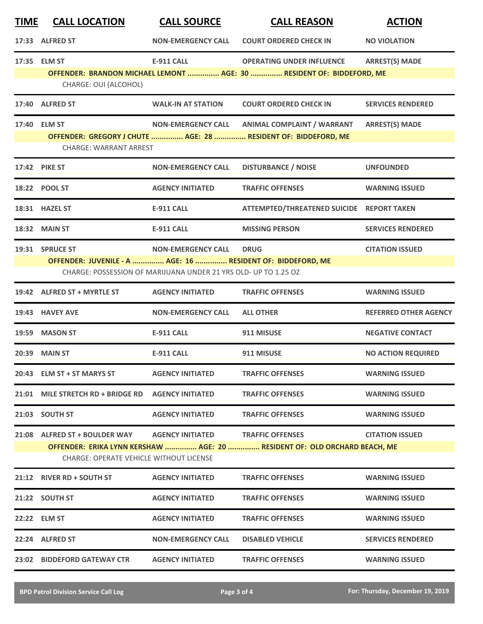| <u>TIME</u> | <b>CALL LOCATION</b>                                            | <b>CALL SOURCE</b>                                              | <b>CALL REASON</b>                                                        | <b>ACTION</b>                |
|-------------|-----------------------------------------------------------------|-----------------------------------------------------------------|---------------------------------------------------------------------------|------------------------------|
|             | 17:33 ALFRED ST                                                 | <b>NON-EMERGENCY CALL</b>                                       | <b>COURT ORDERED CHECK IN</b>                                             | <b>NO VIOLATION</b>          |
|             | 17:35 ELM ST                                                    | <b>E-911 CALL</b>                                               | <b>OPERATING UNDER INFLUENCE</b>                                          | <b>ARREST(S) MADE</b>        |
|             | CHARGE: OUI (ALCOHOL)                                           |                                                                 | OFFENDER: BRANDON MICHAEL LEMONT  AGE: 30  RESIDENT OF: BIDDEFORD, ME     |                              |
|             |                                                                 |                                                                 |                                                                           |                              |
|             | 17:40 ALFRED ST                                                 | <b>WALK-IN AT STATION</b>                                       | <b>COURT ORDERED CHECK IN</b>                                             | <b>SERVICES RENDERED</b>     |
|             | 17:40 ELM ST                                                    | <b>NON-EMERGENCY CALL</b>                                       | <b>ANIMAL COMPLAINT / WARRANT</b>                                         | <b>ARREST(S) MADE</b>        |
|             | <b>CHARGE: WARRANT ARREST</b>                                   |                                                                 | OFFENDER: GREGORY J CHUTE  AGE: 28  RESIDENT OF: BIDDEFORD, ME            |                              |
|             | 17:42 PIKE ST                                                   | <b>NON-EMERGENCY CALL</b>                                       | <b>DISTURBANCE / NOISE</b>                                                | <b>UNFOUNDED</b>             |
|             | 18:22 POOL ST                                                   | <b>AGENCY INITIATED</b>                                         | <b>TRAFFIC OFFENSES</b>                                                   | <b>WARNING ISSUED</b>        |
|             | 18:31 HAZEL ST                                                  | <b>E-911 CALL</b>                                               | ATTEMPTED/THREATENED SUICIDE REPORT TAKEN                                 |                              |
|             | <b>18:32 MAIN ST</b>                                            | <b>E-911 CALL</b>                                               | <b>MISSING PERSON</b>                                                     | <b>SERVICES RENDERED</b>     |
|             | 19:31 SPRUCE ST                                                 | <b>NON-EMERGENCY CALL</b>                                       | <b>DRUG</b>                                                               | <b>CITATION ISSUED</b>       |
|             | OFFENDER: JUVENILE - A  AGE: 16  RESIDENT OF: BIDDEFORD, ME     | CHARGE: POSSESSION OF MARIJUANA UNDER 21 YRS OLD- UP TO 1.25 OZ |                                                                           |                              |
|             | 19:42 ALFRED ST + MYRTLE ST                                     | <b>AGENCY INITIATED</b>                                         | <b>TRAFFIC OFFENSES</b>                                                   | <b>WARNING ISSUED</b>        |
|             | 19:43 HAVEY AVE                                                 | <b>NON-EMERGENCY CALL</b>                                       | <b>ALL OTHER</b>                                                          | <b>REFERRED OTHER AGENCY</b> |
|             | 19:59 MASON ST                                                  | <b>E-911 CALL</b>                                               | 911 MISUSE                                                                | <b>NEGATIVE CONTACT</b>      |
|             | 20:39 MAIN ST                                                   | <b>E-911 CALL</b>                                               | 911 MISUSE                                                                | <b>NO ACTION REQUIRED</b>    |
|             | 20:43 ELM ST + ST MARYS ST                                      | <b>AGENCY INITIATED</b>                                         | <b>TRAFFIC OFFENSES</b>                                                   | <b>WARNING ISSUED</b>        |
|             | 21:01 MILE STRETCH RD + BRIDGE RD    AGENCY INITIATED           |                                                                 | <b>TRAFFIC OFFENSES</b>                                                   | <b>WARNING ISSUED</b>        |
|             | 21:03 SOUTH ST                                                  | <b>AGENCY INITIATED</b>                                         | <b>TRAFFIC OFFENSES</b>                                                   | <b>WARNING ISSUED</b>        |
|             | 21:08 ALFRED ST + BOULDER WAY AGENCY INITIATED TRAFFIC OFFENSES |                                                                 |                                                                           | <b>CITATION ISSUED</b>       |
|             | <b>CHARGE: OPERATE VEHICLE WITHOUT LICENSE</b>                  |                                                                 | OFFENDER: ERIKA LYNN KERSHAW  AGE: 20  RESIDENT OF: OLD ORCHARD BEACH, ME |                              |
|             | 21:12 RIVER RD + SOUTH ST                                       | <b>AGENCY INITIATED</b>                                         | <b>TRAFFIC OFFENSES</b>                                                   | <b>WARNING ISSUED</b>        |
|             | 21:22 SOUTH ST                                                  | <b>AGENCY INITIATED</b>                                         | <b>TRAFFIC OFFENSES</b>                                                   | <b>WARNING ISSUED</b>        |
|             | 22:22 ELM ST                                                    | <b>AGENCY INITIATED</b>                                         | <b>TRAFFIC OFFENSES</b>                                                   | <b>WARNING ISSUED</b>        |
|             | 22:24 ALFRED ST                                                 | <b>NON-EMERGENCY CALL</b>                                       | <b>DISABLED VEHICLE</b>                                                   | <b>SERVICES RENDERED</b>     |
|             | 23:02 BIDDEFORD GATEWAY CTR                                     | <b>AGENCY INITIATED</b>                                         | <b>TRAFFIC OFFENSES</b>                                                   | <b>WARNING ISSUED</b>        |
|             |                                                                 |                                                                 |                                                                           |                              |